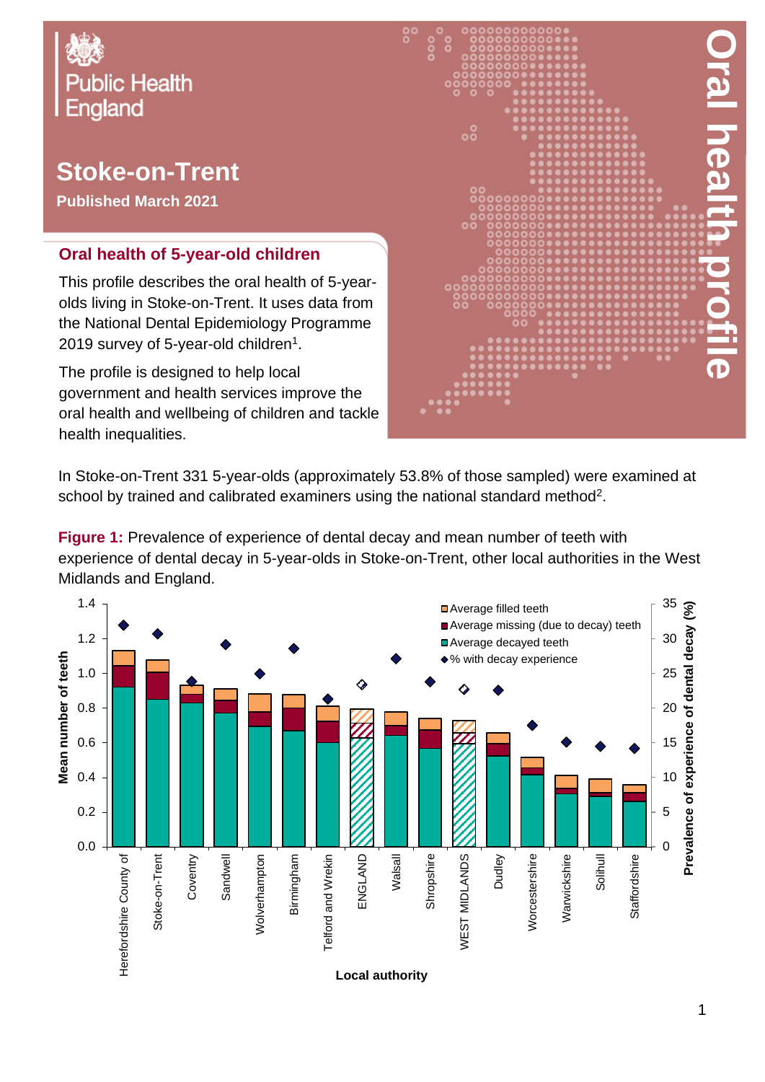

## **Stoke-on-Trent**

**Published March 2021**

## **Oral health of 5-year-old children**

This profile describes the oral health of 5-yearolds living in Stoke-on-Trent. It uses data from the National Dental Epidemiology Programme 2019 survey of 5-year-old children $^{\rm 1}.$ 

The profile is designed to help local government and health services improve the oral health and wellbeing of children and tackle health inequalities.



In Stoke-on-Trent 331 5-year-olds (approximately 53.8% of those sampled) were examined at school by trained and calibrated examiners using the national standard method<sup>2</sup>.

**Figure 1:** Prevalence of experience of dental decay and mean number of teeth with experience of dental decay in 5-year-olds in Stoke-on-Trent, other local authorities in the West Midlands and England.

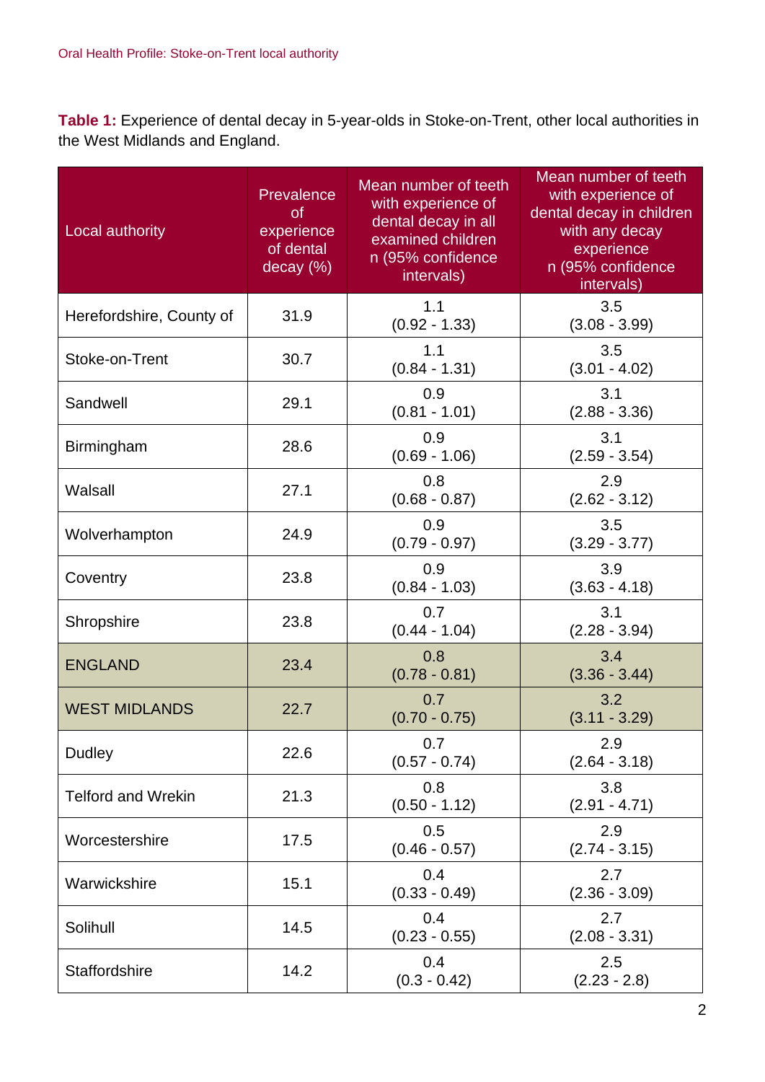**Table 1:** Experience of dental decay in 5-year-olds in Stoke-on-Trent, other local authorities in the West Midlands and England.

| Local authority           | Prevalence<br><b>of</b><br>experience<br>of dental<br>decay (%) | Mean number of teeth<br>with experience of<br>dental decay in all<br>examined children<br>n (95% confidence<br>intervals) | Mean number of teeth<br>with experience of<br>dental decay in children<br>with any decay<br>experience<br>n (95% confidence<br>intervals) |
|---------------------------|-----------------------------------------------------------------|---------------------------------------------------------------------------------------------------------------------------|-------------------------------------------------------------------------------------------------------------------------------------------|
| Herefordshire, County of  | 31.9                                                            | 1.1<br>$(0.92 - 1.33)$                                                                                                    | 3.5<br>$(3.08 - 3.99)$                                                                                                                    |
| Stoke-on-Trent            | 30.7                                                            | 1.1<br>$(0.84 - 1.31)$                                                                                                    | 3.5<br>$(3.01 - 4.02)$                                                                                                                    |
| Sandwell                  | 29.1                                                            | 0.9<br>$(0.81 - 1.01)$                                                                                                    | 3.1<br>$(2.88 - 3.36)$                                                                                                                    |
| Birmingham                | 28.6                                                            | 0.9<br>$(0.69 - 1.06)$                                                                                                    | 3.1<br>$(2.59 - 3.54)$                                                                                                                    |
| Walsall                   | 27.1                                                            | 0.8<br>$(0.68 - 0.87)$                                                                                                    | 2.9<br>$(2.62 - 3.12)$                                                                                                                    |
| Wolverhampton             | 24.9                                                            | 0.9<br>$(0.79 - 0.97)$                                                                                                    | 3.5<br>$(3.29 - 3.77)$                                                                                                                    |
| Coventry                  | 23.8                                                            | 0.9<br>$(0.84 - 1.03)$                                                                                                    | 3.9<br>$(3.63 - 4.18)$                                                                                                                    |
| Shropshire                | 23.8                                                            | 0.7<br>$(0.44 - 1.04)$                                                                                                    | 3.1<br>$(2.28 - 3.94)$                                                                                                                    |
| <b>ENGLAND</b>            | 23.4                                                            | 0.8<br>$(0.78 - 0.81)$                                                                                                    | 3.4<br>$(3.36 - 3.44)$                                                                                                                    |
| <b>WEST MIDLANDS</b>      | 22.7                                                            | 0.7<br>$(0.70 - 0.75)$                                                                                                    | 3.2<br>$(3.11 - 3.29)$                                                                                                                    |
| <b>Dudley</b>             | 22.6                                                            | 0.7<br>$(0.57 - 0.74)$                                                                                                    | 2.9<br>$(2.64 - 3.18)$                                                                                                                    |
| <b>Telford and Wrekin</b> | 21.3                                                            | 0.8<br>$(0.50 - 1.12)$                                                                                                    | 3.8<br>$(2.91 - 4.71)$                                                                                                                    |
| Worcestershire            | 17.5                                                            | 0.5<br>$(0.46 - 0.57)$                                                                                                    | 2.9<br>$(2.74 - 3.15)$                                                                                                                    |
| Warwickshire              | 15.1                                                            | 0.4<br>$(0.33 - 0.49)$                                                                                                    | 2.7<br>$(2.36 - 3.09)$                                                                                                                    |
| Solihull                  | 14.5                                                            | 0.4<br>$(0.23 - 0.55)$                                                                                                    | 2.7<br>$(2.08 - 3.31)$                                                                                                                    |
| Staffordshire             | 14.2                                                            | 0.4<br>$(0.3 - 0.42)$                                                                                                     | 2.5<br>$(2.23 - 2.8)$                                                                                                                     |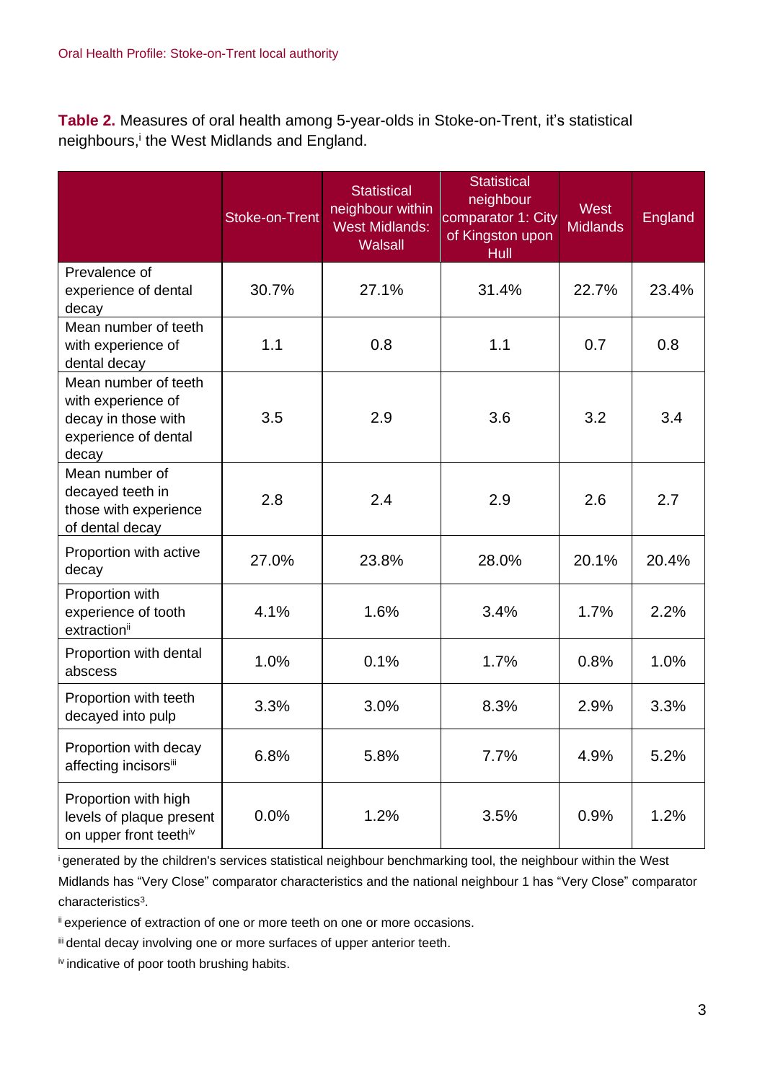**Table 2.** Measures of oral health among 5-year-olds in Stoke-on-Trent, it's statistical neighbours,<sup>i</sup> the West Midlands and England.

|                                                                                                    | <b>Stoke-on-Trent</b> | <b>Statistical</b><br>neighbour within<br><b>West Midlands:</b><br><b>Walsall</b> | <b>Statistical</b><br>neighbour<br>comparator 1: City<br>of Kingston upon<br>Hull | West<br><b>Midlands</b> | England |
|----------------------------------------------------------------------------------------------------|-----------------------|-----------------------------------------------------------------------------------|-----------------------------------------------------------------------------------|-------------------------|---------|
| Prevalence of<br>experience of dental<br>decay                                                     | 30.7%                 | 27.1%                                                                             | 31.4%                                                                             | 22.7%                   | 23.4%   |
| Mean number of teeth<br>with experience of<br>dental decay                                         | 1.1                   | 0.8                                                                               | 1.1                                                                               | 0.7                     | 0.8     |
| Mean number of teeth<br>with experience of<br>decay in those with<br>experience of dental<br>decay | 3.5                   | 2.9                                                                               | 3.6                                                                               | 3.2                     | 3.4     |
| Mean number of<br>decayed teeth in<br>those with experience<br>of dental decay                     | 2.8                   | 2.4                                                                               | 2.9                                                                               | 2.6                     | 2.7     |
| Proportion with active<br>decay                                                                    | 27.0%                 | 23.8%                                                                             | 28.0%                                                                             | 20.1%                   | 20.4%   |
| Proportion with<br>experience of tooth<br>extraction <sup>ii</sup>                                 | 4.1%                  | 1.6%                                                                              | 3.4%                                                                              | 1.7%                    | 2.2%    |
| Proportion with dental<br>abscess                                                                  | 1.0%                  | 0.1%                                                                              | 1.7%                                                                              | 0.8%                    | 1.0%    |
| Proportion with teeth<br>decayed into pulp                                                         | 3.3%                  | 3.0%                                                                              | 8.3%                                                                              | 2.9%                    | 3.3%    |
| Proportion with decay<br>affecting incisorsii                                                      | 6.8%                  | 5.8%                                                                              | 7.7%                                                                              | 4.9%                    | 5.2%    |
| Proportion with high<br>levels of plaque present<br>on upper front teethiv                         | 0.0%                  | 1.2%                                                                              | 3.5%                                                                              | 0.9%                    | 1.2%    |

<sup>i</sup>generated by the children's services statistical neighbour benchmarking tool, the neighbour within the West

Midlands has "Very Close" comparator characteristics and the national neighbour 1 has "Very Close" comparator characteristics<sup>3</sup>.

ii experience of extraction of one or more teeth on one or more occasions.

iii dental decay involving one or more surfaces of upper anterior teeth.

iv indicative of poor tooth brushing habits.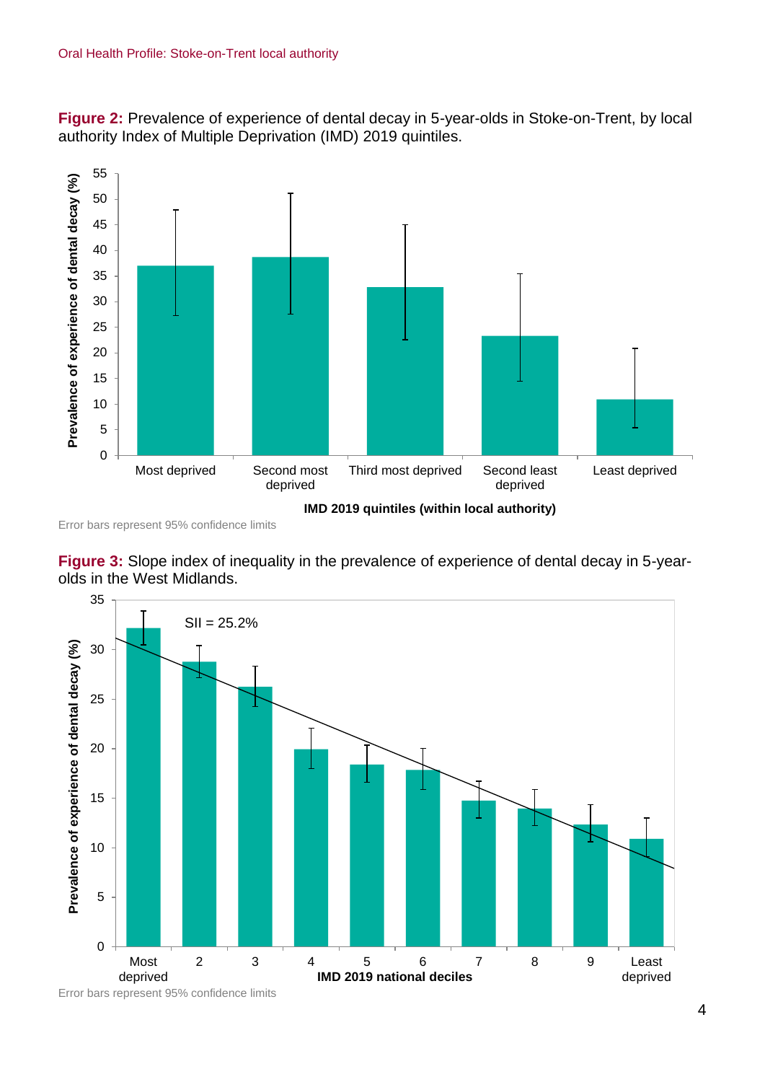



Error bars represent 95% confidence limits

**Figure 3:** Slope index of inequality in the prevalence of experience of dental decay in 5-yearolds in the West Midlands.



Error bars represent 95% confidence limits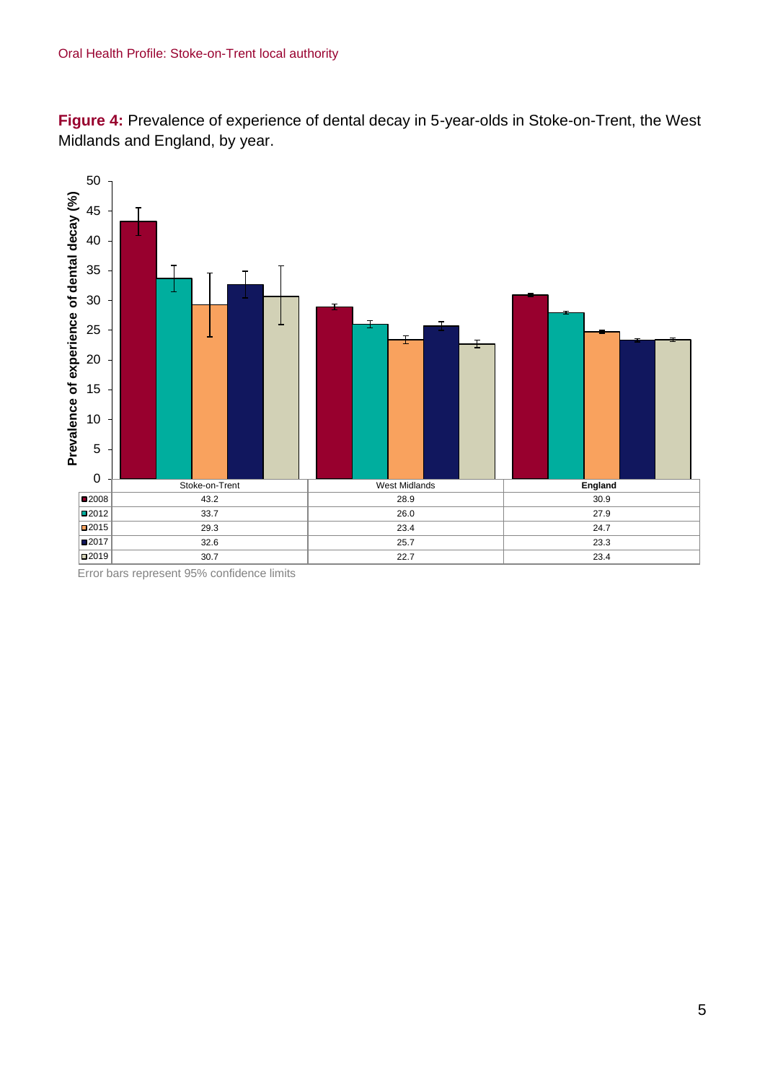**Figure 4:** Prevalence of experience of dental decay in 5-year-olds in Stoke-on-Trent, the West Midlands and England, by year.



Error bars represent 95% confidence limits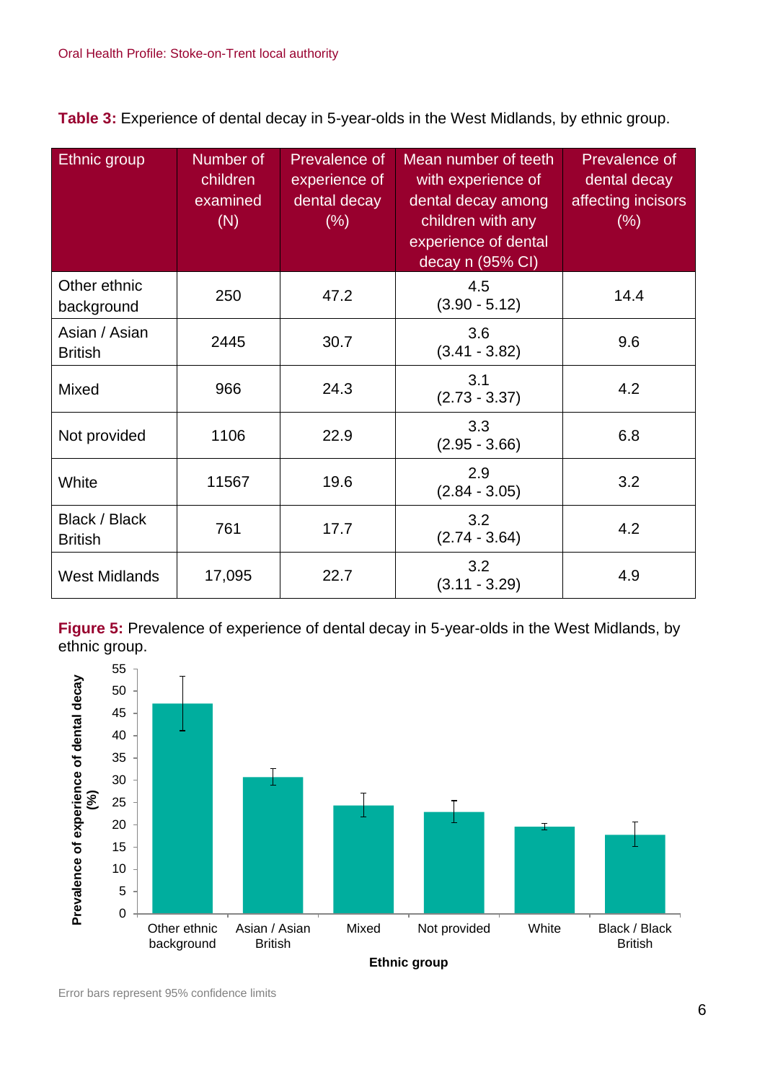**Table 3:** Experience of dental decay in 5-year-olds in the West Midlands, by ethnic group.

| Ethnic group                    | Number of<br>children<br>examined<br>(N) | <b>Prevalence of</b><br>experience of<br>dental decay<br>(% ) | Mean number of teeth<br>with experience of<br>dental decay among<br>children with any<br>experience of dental<br>decay n (95% CI) | Prevalence of<br>dental decay<br>affecting incisors<br>(%) |
|---------------------------------|------------------------------------------|---------------------------------------------------------------|-----------------------------------------------------------------------------------------------------------------------------------|------------------------------------------------------------|
| Other ethnic<br>background      | 250                                      | 47.2                                                          | 4.5<br>$(3.90 - 5.12)$                                                                                                            | 14.4                                                       |
| Asian / Asian<br><b>British</b> | 2445                                     | 30.7                                                          | 3.6<br>$(3.41 - 3.82)$                                                                                                            | 9.6                                                        |
| Mixed                           | 966                                      | 24.3                                                          | 3.1<br>$(2.73 - 3.37)$                                                                                                            | 4.2                                                        |
| Not provided                    | 1106                                     | 22.9                                                          | 3.3<br>$(2.95 - 3.66)$                                                                                                            | 6.8                                                        |
| White                           | 11567                                    | 19.6                                                          | 2.9<br>$(2.84 - 3.05)$                                                                                                            | 3.2                                                        |
| Black / Black<br><b>British</b> | 761                                      | 17.7                                                          | 3.2<br>$(2.74 - 3.64)$                                                                                                            | 4.2                                                        |
| <b>West Midlands</b>            | 17,095                                   | 22.7                                                          | 3.2<br>$(3.11 - 3.29)$                                                                                                            | 4.9                                                        |

**Figure 5:** Prevalence of experience of dental decay in 5-year-olds in the West Midlands, by ethnic group.



Error bars represent 95% confidence limits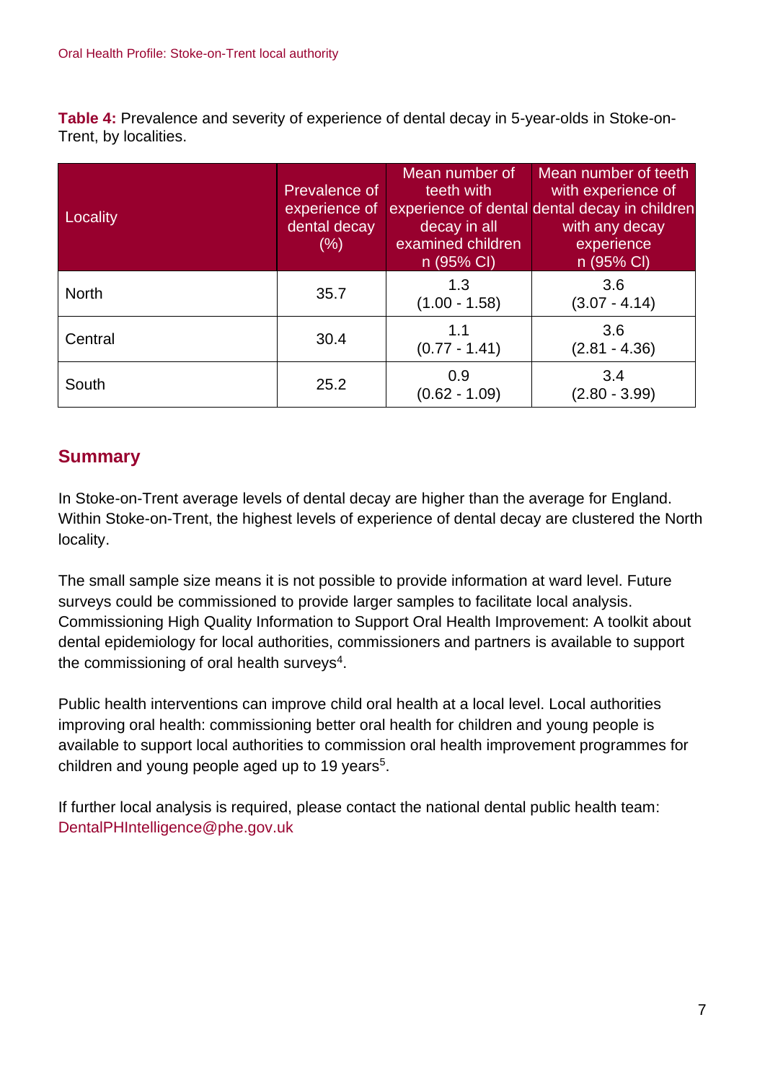**Table 4:** Prevalence and severity of experience of dental decay in 5-year-olds in Stoke-on-Trent, by localities.

| Locality     | Prevalence of<br>experience of<br>dental decay<br>$(\% )$ | Mean number of<br>teeth with<br>decay in all<br>examined children<br>n (95% CI) | Mean number of teeth<br>with experience of<br>experience of dental dental decay in children<br>with any decay<br>experience<br>n (95% CI) |
|--------------|-----------------------------------------------------------|---------------------------------------------------------------------------------|-------------------------------------------------------------------------------------------------------------------------------------------|
| <b>North</b> | 35.7                                                      | 1.3<br>$(1.00 - 1.58)$                                                          | 3.6<br>$(3.07 - 4.14)$                                                                                                                    |
| Central      | 30.4                                                      | 1.1<br>$(0.77 - 1.41)$                                                          | 3.6<br>$(2.81 - 4.36)$                                                                                                                    |
| South        | 25.2                                                      | 0.9<br>$(0.62 - 1.09)$                                                          | 3.4<br>$(2.80 - 3.99)$                                                                                                                    |

## **Summary**

In Stoke-on-Trent average levels of dental decay are higher than the average for England. Within Stoke-on-Trent, the highest levels of experience of dental decay are clustered the North locality.

The small sample size means it is not possible to provide information at ward level. Future surveys could be commissioned to provide larger samples to facilitate local analysis. Commissioning High Quality Information to Support Oral Health Improvement: A toolkit about dental epidemiology for local authorities, commissioners and partners is available to support the commissioning of oral health surveys<sup>4</sup>.

Public health interventions can improve child oral health at a local level. Local authorities improving oral health: commissioning better oral health for children and young people is available to support local authorities to commission oral health improvement programmes for children and young people aged up to 19 years<sup>5</sup>.

If further local analysis is required, please contact the national dental public health team: DentalPHIntelligence@phe.gov.uk